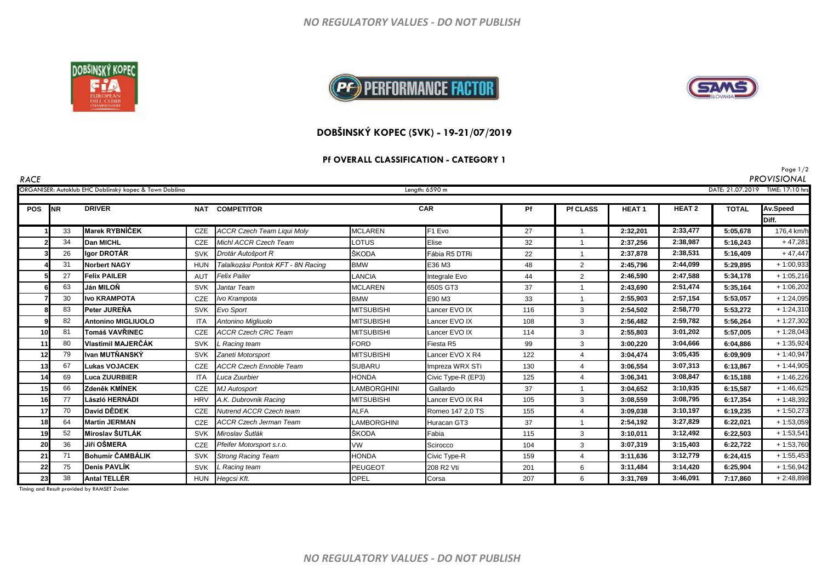





Page 1/2

## **DOBŠINSKÝ KOPEC (SVK) - 19-21/07/2019**

### **Pf OVERALL CLASSIFICATION - CATEGORY 1**

| <b>RACE</b> | <b>PROVISIONAL</b> |                                                        |            |                                    |                    |                    |     |                 |              |               |              |                                  |  |
|-------------|--------------------|--------------------------------------------------------|------------|------------------------------------|--------------------|--------------------|-----|-----------------|--------------|---------------|--------------|----------------------------------|--|
|             |                    | ORGANISER: Autoklub EHC Dobšinský kopec & Town Dobšina |            |                                    |                    | Length: 6590 m     |     |                 |              |               |              | DATE: 21.07.2019 TIME: 17:10 hrs |  |
| POS INR     |                    | <b>DRIVER</b>                                          |            | NAT COMPETITOR                     |                    | CAR                | Pf  | <b>Pf CLASS</b> | <b>HEAT1</b> | <b>HEAT 2</b> | <b>TOTAL</b> | Av.Speed                         |  |
|             |                    |                                                        |            |                                    |                    |                    |     |                 |              |               |              | Diff.                            |  |
|             | 33                 | Marek RYBNÍČEK                                         | <b>CZE</b> | <b>ACCR Czech Team Liqui Moly</b>  | <b>MCLAREN</b>     | F <sub>1</sub> Evo | 27  |                 | 2:32,201     | 2:33,477      | 5:05.678     | 176,4 km/h                       |  |
|             | 34                 | Dan MICHL                                              | CZE        | Michl ACCR Czech Team              | LOTUS              | Elise              | 32  |                 | 2:37,256     | 2:38,987      | 5:16,243     | $+47,281$                        |  |
|             | 26                 | Igor DROTÁR                                            | SVK        | Drotár Autošport R                 | ŠKODA              | Fábia R5 DTRi      | 22  | 1               | 2:37,878     | 2:38,531      | 5:16,409     | $+47,447$                        |  |
|             | 31                 | <b>Norbert NAGY</b>                                    | <b>HUN</b> | Talalkozási Pontok KFT - 8N Racing | <b>BMW</b>         | E36 M3             | 48  | $\overline{2}$  | 2:45,796     | 2:44.099      | 5:29,895     | $+1:00,933$                      |  |
|             | 27                 | <b>Felix PAILER</b>                                    | <b>AUT</b> | <b>Felix Pailer</b>                | LANCIA             | Integrale Evo      | 44  | $\overline{2}$  | 2:46.590     | 2:47,588      | 5:34,178     | $+1:05,216$                      |  |
|             | 63                 | Ján MILOŇ                                              | SVK        | Jantar Team                        | MCLAREN            | 650S GT3           | 37  |                 | 2:43,690     | 2:51,474      | 5:35,164     | $+1:06,202$                      |  |
|             | 30                 | <b>Ivo KRAMPOTA</b>                                    | CZE        | Ivo Krampota                       | <b>BMW</b>         | E90 M3             | 33  |                 | 2:55.903     | 2:57,154      | 5:53.057     | $+1:24,095$                      |  |
|             | 83                 | Peter JUREŇA                                           | <b>SVK</b> | Evo Sport                          | <b>MITSUBISHI</b>  | Lancer EVO IX      | 116 | 3               | 2:54,502     | 2:58,770      | 5:53,272     | $+1:24,310$                      |  |
|             | 82                 | <b>Antonino MIGLIUOLO</b>                              | <b>ITA</b> | Antonino Migliuolo                 | <b>MITSUBISHI</b>  | Lancer EVO IX      | 108 | 3               | 2:56,482     | 2:59,782      | 5:56,264     | $+1:27,302$                      |  |
| 10          | 81                 | Tomáš VAVŘINEC                                         | <b>CZE</b> | <b>ACCR Czech CRC Team</b>         | <b>MITSUBISHI</b>  | Lancer EVO IX      | 114 | 3               | 2:55.803     | 3:01,202      | 5:57.005     | $+1:28,043$                      |  |
| 11          | 80                 | Vlastimil MAJERČÁK                                     | SVK        | Racing team                        | <b>FORD</b>        | Fiesta R5          | 99  | 3               | 3:00.220     | 3:04,666      | 6:04.886     | $+1:35,924$                      |  |
| 12          | 79                 | Ivan MUTŇANSKÝ                                         | SVK        | Zaneti Motorsport                  | <b>MITSUBISHI</b>  | Lancer EVO X R4    | 122 | $\overline{4}$  | 3:04,474     | 3:05,435      | 6:09,909     | $+1:40,947$                      |  |
| 13          | 67                 | Lukas VOJACEK                                          | CZE        | <b>ACCR Czech Ennoble Team</b>     | <b>SUBARU</b>      | Impreza WRX STi    | 130 | $\overline{4}$  | 3:06,554     | 3:07,313      | 6:13,867     | $+1:44,905$                      |  |
| 14          | 69                 | Luca ZUURBIER                                          | <b>ITA</b> | Luca Zuurbier                      | <b>HONDA</b>       | Civic Type-R (EP3) | 125 | $\overline{4}$  | 3:06,341     | 3:08,847      | 6:15,188     | $+1:46,226$                      |  |
| 15          | 66                 | Zdeněk KMÍNEK                                          | <b>CZE</b> | <b>MJ Autosport</b>                | LAMBORGHINI        | Gallardo           | 37  |                 | 3:04,652     | 3:10,935      | 6:15,587     | $+1:46,625$                      |  |
| 16          | 77                 | László HERNÁDI                                         | <b>HRV</b> | A.K. Dubrovnik Racing              | <b>MITSUBISHI</b>  | Lancer EVO IX R4   | 105 | 3               | 3:08.559     | 3:08,795      | 6:17,354     | $+1:48,392$                      |  |
| 17          | 70                 | David DĚDEK                                            | CZE        | Nutrend ACCR Czech team            | <b>ALFA</b>        | Romeo 147 2.0 TS   | 155 | $\Delta$        | 3:09,038     | 3:10,197      | 6:19,235     | $+1:50,273$                      |  |
| 18          | 64                 | <b>Martin JERMAN</b>                                   | <b>CZE</b> | <b>ACCR Czech Jerman Team</b>      | <b>LAMBORGHINI</b> | Huracan GT3        | 37  | 1               | 2:54,192     | 3:27,829      | 6:22,021     | $+1:53,059$                      |  |
| 19          | 52                 | Miroslav ŠUTLÁK                                        | <b>SVK</b> | Miroslav Šutlák                    | ŠKODA              | Fabia              | 115 | 3               | 3:10,011     | 3:12,492      | 6:22,503     | $+1:53,541$                      |  |
| 20          | 36                 | <b>Jiří OŠMERA</b>                                     | <b>CZE</b> | Pfeifer Motorsport s.r.o.          | VW                 | Scirocco           | 104 | 3               | 3:07.319     | 3:15,403      | 6:22.722     | $+1:53,760$                      |  |
| 21          | 71                 | Bohumír ČAMBÁLIK                                       | SVK        | <b>Strong Racing Team</b>          | <b>HONDA</b>       | Civic Type-R       | 159 | $\overline{4}$  | 3:11,636     | 3:12,779      | 6:24,415     | $+1:55,453$                      |  |
| 22          | 75                 | Denis PAVLÍK                                           | SVK        | Racing team                        | <b>PEUGEOT</b>     | 208 R2 Vti         | 201 | 6               | 3:11,484     | 3:14,420      | 6:25,904     | $+1:56,942$                      |  |
| 23          | 38                 | <b>Antal TELLÉR</b>                                    | <b>HUN</b> | Hegcsi Kft.                        | OPEL               | Corsa              | 207 | 6               | 3:31,769     | 3:46,091      | 7:17,860     | $+2:48,898$                      |  |

Timing and Result provided by RAMSET Zvolen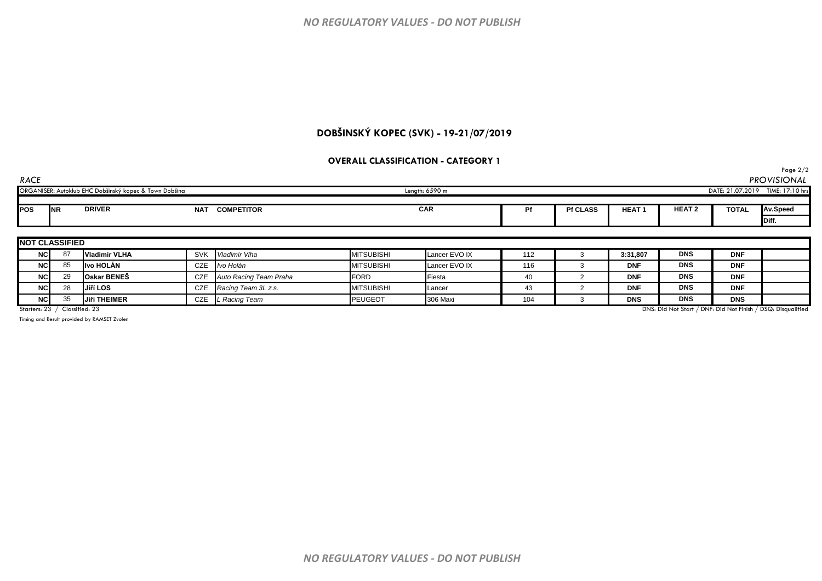#### **OVERALL CLASSIFICATION - CATEGORY 1**

|             |                       |                                                        |            |                        |                   |                |     |                 |              |               |                  | Page $2/2$         |
|-------------|-----------------------|--------------------------------------------------------|------------|------------------------|-------------------|----------------|-----|-----------------|--------------|---------------|------------------|--------------------|
| <b>RACE</b> |                       |                                                        |            |                        |                   |                |     |                 |              |               |                  | <b>PROVISIONAL</b> |
|             |                       | ORGANISER: Autoklub EHC Dobšinský kopec & Town Dobšina |            |                        |                   | Length: 6590 m |     |                 |              |               | DATE: 21.07.2019 | TIME: 17:10 hrs    |
|             |                       |                                                        |            |                        |                   |                |     |                 |              |               |                  |                    |
| <b>POS</b>  | <b>INR</b>            | <b>DRIVER</b>                                          | <b>NAT</b> | <b>COMPETITOR</b>      |                   | CAR            | Pf  | <b>Pf CLASS</b> | <b>HEAT1</b> | <b>HEAT 2</b> | <b>TOTAL</b>     | Av.Speed           |
|             |                       |                                                        |            |                        |                   |                |     |                 |              |               |                  | Diff.              |
|             |                       |                                                        |            |                        |                   |                |     |                 |              |               |                  |                    |
|             | <b>NOT CLASSIFIED</b> |                                                        |            |                        |                   |                |     |                 |              |               |                  |                    |
| <b>NC</b>   | 87                    | <b>Vladimír VLHA</b>                                   | <b>SVK</b> | Vladimír Vlha          | <b>MITSUBISHI</b> | Lancer EVO IX  | 112 |                 | 3:31,807     | <b>DNS</b>    | <b>DNF</b>       |                    |
| <b>NC</b>   | 85                    | Ivo HOLÁN                                              | CZE        | Ivo Holán              | <b>MITSUBISHI</b> | Lancer EVO IX  | 116 |                 | <b>DNF</b>   | <b>DNS</b>    | <b>DNF</b>       |                    |
| <b>NC</b>   | 29                    | Oskar BENEŠ                                            | CZE        | Auto Racing Team Praha | <b>FORD</b>       | Fiesta         | 40  |                 | <b>DNF</b>   | <b>DNS</b>    | <b>DNF</b>       |                    |
| <b>NC</b>   | 28                    | Jiří LOS                                               | CZE        | Racing Team 3L z.s.    | <b>MITSUBISHI</b> | Lancer         | 43  |                 | <b>DNF</b>   | <b>DNS</b>    | <b>DNF</b>       |                    |
| <b>NC</b>   | 35                    | <b>Jiří THEIMER</b>                                    | CZE        | L Racing Team          | <b>PEUGEOT</b>    | 306 Maxi       | 104 |                 | <b>DNS</b>   | <b>DNS</b>    | <b>DNS</b>       |                    |

Starters: 23 / Classified: 23

Timing and Result provided by RAMSET Zvolen

DNS: Did Not Start / DNF: Did Not Finish / DSQ: Disqualified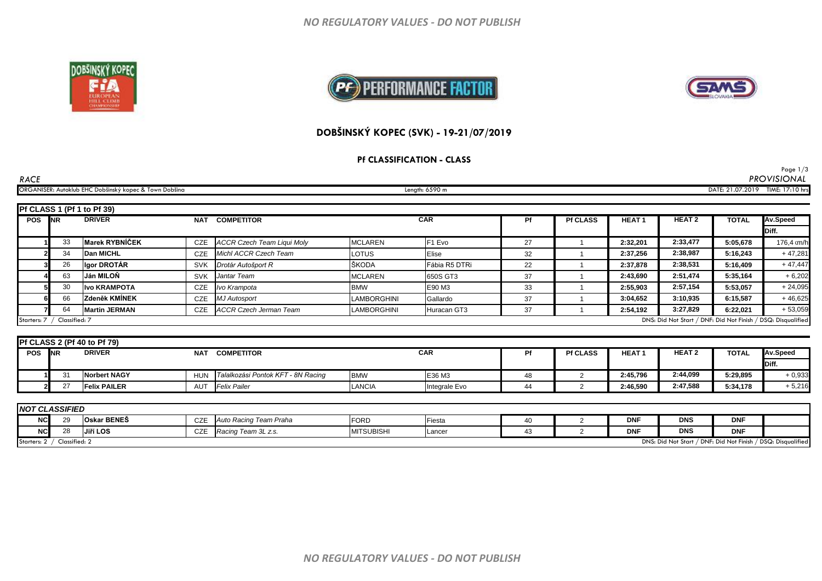





#### **Pf CLASSIFICATION - CLASS**

|                                                        |                | $\sim$ $\sim$<br>Page               |
|--------------------------------------------------------|----------------|-------------------------------------|
| <b>RACE</b>                                            |                | <b>PROVISIONAL</b>                  |
| ORGANISER: Autoklub EHC Dobšinský kopec & Town Dobšina | Lenath: 6590 m | DATE: 21.07.2019<br>TIME: 17:10 hrs |
|                                                        |                |                                     |

|             |                                                                               |     | Pf CLASS 1 (Pf 1 to Pf 39) |            |                                   |                    |                    |                 |              |               |              |          |           |
|-------------|-------------------------------------------------------------------------------|-----|----------------------------|------------|-----------------------------------|--------------------|--------------------|-----------------|--------------|---------------|--------------|----------|-----------|
| <b>POS</b>  | <b>INR</b>                                                                    |     | <b>DRIVER</b>              | NAT        | <b>COMPETITOR</b>                 |                    | Pf                 | <b>Pf CLASS</b> | <b>HEAT1</b> | <b>HEAT 2</b> | <b>TOTAL</b> | Av.Speed |           |
|             |                                                                               |     |                            |            |                                   |                    |                    |                 |              |               |              |          | Diff.     |
|             |                                                                               | 33  | Marek RYBNÍČEK             | <b>CZE</b> | <b>ACCR Czech Team Liqui Moly</b> | <b>MCLAREN</b>     | F <sub>1</sub> Evo | 27              |              | 2:32.201      | 2:33,477     | 5:05,678 | 176,4 m/h |
|             |                                                                               | 34  | Dan MICHL                  | CZE        | Michl ACCR Czech Team             | LOTUS              | Elise              | 32              |              | 2:37.256      | 2:38,987     | 5:16.243 | $+47.281$ |
|             |                                                                               | 26  | gor DROTÁR                 | SVK        | Drotár Autošport R                | ŠKODA              | Fábia R5 DTRi      | 22              |              | 2:37.878      | 2:38.531     | 5:16.409 | $+47.447$ |
|             |                                                                               | -63 | Ján MILOŇ                  | <b>SVK</b> | Jantar Team                       | <b>MCLAREN</b>     | 650S GT3           | 37              |              | 2:43.690      | 2:51,474     | 5:35,164 | $+6,202$  |
|             |                                                                               | -30 | <b>vo KRAMPOTA</b>         | <b>CZE</b> | Ivo Krampota                      | <b>BMW</b>         | E90 M3             | 33              |              | 2:55.903      | 2:57.154     | 5:53.057 | $+24.095$ |
|             |                                                                               | 66  | Zdeněk KMÍNEK              | <b>CZE</b> | <b>MJ Autosport</b>               | LAMBORGHINI        | Gallardo           | 37              |              | 3:04.652      | 3:10,935     | 6:15.587 | $+46,625$ |
|             |                                                                               | 64  | <b>Martin JERMAN</b>       | <b>CZE</b> | <b>ACCR Czech Jerman Team</b>     | <b>LAMBORGHINI</b> | Huracan GT3        | 37              |              | 2:54.192      | 3:27.829     | 6:22.021 | $+53,059$ |
| Starters: 7 | DNS: Did Not Start / DNF: Did Not Finish / DSQ: Disqualified<br>Classified: 7 |     |                            |            |                                   |                    |                    |                 |              |               |              |          |           |

|                       |            | Pf CLASS 2 (Pf 40 to Pf 79) |            |                                    |                   |               |    |                 |              |               |            |          |
|-----------------------|------------|-----------------------------|------------|------------------------------------|-------------------|---------------|----|-----------------|--------------|---------------|------------|----------|
| <b>POS</b>            | <b>INR</b> | <b>DRIVER</b>               | <b>NAT</b> | <b>COMPETITOR</b>                  | CAR               |               | Pf | <b>Pf CLASS</b> | <b>HEAT1</b> | <b>HEAT 2</b> | TOTAL      | Av.Speed |
|                       |            |                             |            |                                    |                   |               |    |                 |              |               |            | Diff.    |
|                       | 31         | <b>Norbert NAGY</b>         | <b>HUN</b> | Talalkozási Pontok KFT - 8N Racing | <b>BMW</b>        | E36 M3        | 48 |                 | 2:45.796     | 2:44,099      | 5:29.895   | $+0.933$ |
|                       | 27         | <b>Felix PAILER</b>         | <b>AUT</b> | <b>Felix Pailer</b>                | <b>LANCIA</b>     | Integrale Evo | 44 |                 | 2:46,590     | 2:47,588      | 5:34,178   | $+5,216$ |
|                       |            |                             |            |                                    |                   |               |    |                 |              |               |            |          |
| <b>NOT CLASSIFIED</b> |            |                             |            |                                    |                   |               |    |                 |              |               |            |          |
| <b>NC</b>             | 29         | Oskar BENEŠ                 | CZE        | Auto Racing Team Praha             | <b>FORD</b>       | Fiesta        | 40 |                 | <b>DNF</b>   | <b>DNS</b>    | <b>DNF</b> |          |
| <b>NC</b>             | 28         | Jiří LOS                    | <b>CZE</b> | Racing Team 3L z.s.                | <b>MITSUBISHI</b> | Lancer        | 43 |                 | <b>DNF</b>   | <b>DNS</b>    | <b>DNF</b> |          |

Starters: 2 / Classified: 2 2 2 2 0 DNS: Did Not Start / DNF: Did Not Finish / DSQ: Disqualified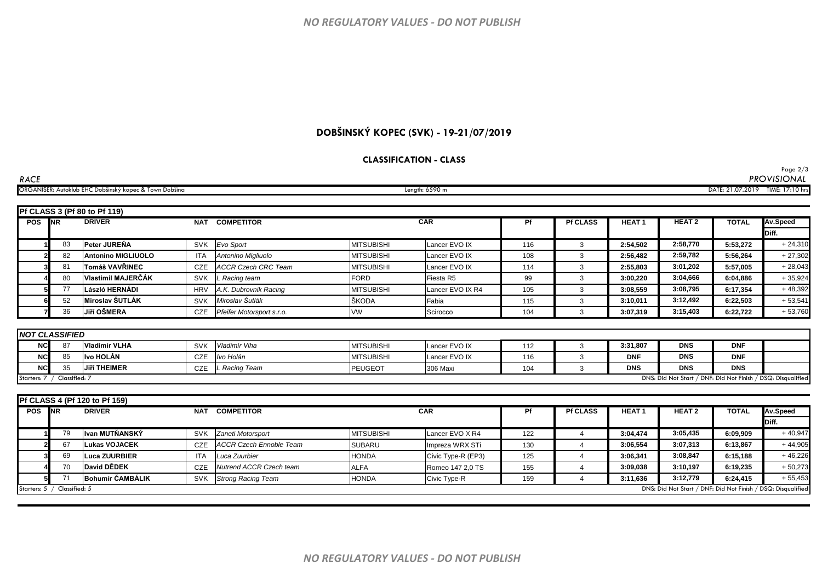#### **CLASSIFICATION - CLASS**

Starters:  $7 /$  Classified: 7

Page 2/3<br>**PROVISIONAL** 

| <b>RACF</b>                                            |                | <b>PROVISIONAL</b>                                       |
|--------------------------------------------------------|----------------|----------------------------------------------------------|
| ORGANISER: Autoklub EHC Dobšinský kopec & Town Dobšina | Length: 6590 m | DATE:<br>TIME: 17:10 hrs<br>. 21 07 2019<br>. 21.07.2019 |

| DATE: 21.07.2019 | TIME: 17:10 hr |  |
|------------------|----------------|--|
|                  |                |  |
|                  |                |  |

DNS: Did Not Start / DNF: Did Not Finish / DSQ: Disqualified

|            |                        | <b>Pf CLASS 3 (Pf 80 to Pf 119)</b> |            |                            |                   |                  |     |                 |              |               |              |              |
|------------|------------------------|-------------------------------------|------------|----------------------------|-------------------|------------------|-----|-----------------|--------------|---------------|--------------|--------------|
| <b>POS</b> | <b>INR</b>             | <b>DRIVER</b>                       | NAT        | <b>COMPETITOR</b>          |                   | CAR              | Pf  | <b>Pf CLASS</b> | <b>HEAT1</b> | <b>HEAT 2</b> | <b>TOTAL</b> | Av.Speed     |
|            |                        |                                     |            |                            |                   |                  |     |                 |              |               |              | <b>Diff.</b> |
|            | 83                     | Peter JUREŇA                        | <b>SVK</b> | Evo Sport                  | <b>MITSUBISHI</b> | Lancer EVO IX    | 116 | -3              | 2:54,502     | 2:58,770      | 5:53,272     | $+24,310$    |
|            | 82                     | <b>Antonino MIGLIUOLO</b>           | <b>ITA</b> | Antonino Migliuolo         | <b>MITSUBISHI</b> | Lancer EVO IX    | 108 | -3              | 2:56,482     | 2:59,782      | 5:56,264     | $+27,302$    |
|            | 81                     | Tomáš VAVŘINEC                      | <b>CZE</b> | <b>ACCR Czech CRC Team</b> | <b>MITSUBISHI</b> | Lancer EVO IX    | 114 | 3               | 2:55,803     | 3:01,202      | 5:57,005     | $+28,043$    |
|            | 80                     | Vlastimil MAJERČÁK                  | <b>SVK</b> | Racing team                | FORD              | Fiesta R5        | 99  | 3               | 3:00,220     | 3:04,666      | 6:04,886     | $+35,924$    |
|            | 77                     | László HERNÁDI                      | <b>HRV</b> | A.K. Dubrovnik Racing      | <b>MITSUBISHI</b> | Lancer EVO IX R4 | 105 | 3               | 3:08,559     | 3:08,795      | 6:17,354     | $+48,392$    |
|            | 52                     | Miroslav ŠUTLÁK                     | <b>SVK</b> | Miroslav Šutlák            | ŠKODA             | Fabia            | 115 | -5              | 3:10,011     | 3:12,492      | 6:22,503     | $+53,541$    |
|            | 36                     | <b>JIří OŠMERA</b>                  | CZE        | Pfeifer Motorsport s.r.o.  | VW                | Scirocco         | 104 |                 | 3:07,319     | 3:15,403      | 6:22,722     | $+53,760$    |
|            |                        |                                     |            |                            |                   |                  |     |                 |              |               |              |              |
|            | <b>INOT CLASSIFIED</b> |                                     |            |                            |                   |                  |     |                 |              |               |              |              |
| <b>NC</b>  | 87                     | <b>Vladimír VLHA</b>                | <b>SVK</b> | Vladimír Vlha              | <b>MITSUBISHI</b> | Lancer EVO IX    | 112 |                 | 3:31,807     | <b>DNS</b>    | <b>DNF</b>   |              |
| <b>NC</b>  | 85                     | Ivo HOLÁN                           | <b>CZE</b> | Ivo Holán                  | <b>MITSUBISHI</b> | Lancer EVO IX    | 116 | 3               | <b>DNF</b>   | <b>DNS</b>    | <b>DNF</b>   |              |
| <b>NC</b>  | 35                     | <b>JIří THEIMER</b>                 | CZE        | L Racing Team              | <b>PEUGEOT</b>    | 306 Maxi         | 104 |                 | <b>DNS</b>   | <b>DNS</b>    | <b>DNS</b>   |              |

|             |                                                                               | Pf CLASS 4 (Pf 120 to Pf 159) |            |                                |                   |                    |     |                 |              |               |              |           |
|-------------|-------------------------------------------------------------------------------|-------------------------------|------------|--------------------------------|-------------------|--------------------|-----|-----------------|--------------|---------------|--------------|-----------|
| <b>POS</b>  | <b>INR</b>                                                                    | <b>DRIVER</b>                 | <b>NAT</b> | <b>COMPETITOR</b>              |                   | <b>CAR</b>         |     | <b>Pf CLASS</b> | <b>HEAT1</b> | <b>HEAT 2</b> | <b>TOTAL</b> | Av.Speed  |
|             |                                                                               |                               |            |                                |                   |                    |     |                 |              |               |              | Diff.     |
|             | 79                                                                            | van MUTŇANSKÝ                 | <b>SVK</b> | Zaneti Motorsport              | <b>MITSUBISHI</b> | Lancer EVO X R4    | 122 |                 | 3:04.474     | 3:05.435      | 6:09.909     | $+40.947$ |
|             | 67                                                                            | ukas VOJACEK.                 | <b>CZE</b> | <b>ACCR Czech Ennoble Team</b> | <b>SUBARU</b>     | Impreza WRX STi    | 130 |                 | 3:06.554     | 3:07.313      | 6:13.867     | $+44,905$ |
|             | 69                                                                            | Luca ZUURBIER                 | <b>ITA</b> | Luca Zuurbier                  | <b>HONDA</b>      | Civic Type-R (EP3) | 125 |                 | 3:06.341     | 3:08,847      | 6:15.188     | $+46,226$ |
|             |                                                                               | David DĚDEK                   | CZE        | Nutrend ACCR Czech team        | <b>ALFA</b>       | Romeo 147 2,0 TS   | 155 |                 | 3:09.038     | 3:10.197      | 6:19.235     | $+50,273$ |
|             |                                                                               | Bohumír ČAMBÁLIK              | <b>SVK</b> | <b>Strong Racing Team</b>      | <b>HONDA</b>      | Civic Type-R       | 159 |                 | 3:11.636     | 3:12,779      | 6:24.415     | $+55,453$ |
| Starters: 5 | DNS: Did Not Start / DNF: Did Not Finish / DSQ: Disqualified<br>Classified: 5 |                               |            |                                |                   |                    |     |                 |              |               |              |           |